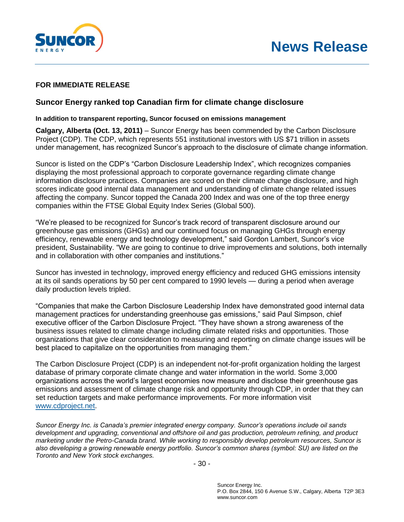

## **FOR IMMEDIATE RELEASE**

## **Suncor Energy ranked top Canadian firm for climate change disclosure**

## **In addition to transparent reporting, Suncor focused on emissions management**

**Calgary, Alberta (Oct. 13, 2011)** – Suncor Energy has been commended by the Carbon Disclosure Project (CDP). The CDP, which represents 551 institutional investors with US \$71 trillion in assets under management, has recognized Suncor's approach to the disclosure of climate change information.

Suncor is listed on the CDP's "Carbon Disclosure Leadership Index", which recognizes companies displaying the most professional approach to corporate governance regarding climate change information disclosure practices. Companies are scored on their climate change disclosure, and high scores indicate good internal data management and understanding of climate change related issues affecting the company. Suncor topped the Canada 200 Index and was one of the top three energy companies within the FTSE Global Equity Index Series (Global 500).

"We're pleased to be recognized for Suncor's track record of transparent disclosure around our greenhouse gas emissions (GHGs) and our continued focus on managing GHGs through energy efficiency, renewable energy and technology development," said Gordon Lambert, Suncor's vice president, Sustainability. "We are going to continue to drive improvements and solutions, both internally and in collaboration with other companies and institutions."

Suncor has invested in technology, improved energy efficiency and reduced GHG emissions intensity at its oil sands operations by 50 per cent compared to 1990 levels — during a period when average daily production levels tripled.

"Companies that make the Carbon Disclosure Leadership Index have demonstrated good internal data management practices for understanding greenhouse gas emissions," said Paul Simpson, chief executive officer of the Carbon Disclosure Project. "They have shown a strong awareness of the business issues related to climate change including climate related risks and opportunities. Those organizations that give clear consideration to measuring and reporting on climate change issues will be best placed to capitalize on the opportunities from managing them."

The Carbon Disclosure Project (CDP) is an independent not-for-profit organization holding the largest database of primary corporate climate change and water information in the world. Some 3,000 organizations across the world's largest economies now measure and disclose their greenhouse gas emissions and assessment of climate change risk and opportunity through CDP, in order that they can set reduction targets and make performance improvements. For more information visit [www.cdproject.net.](http://www.cdproject.net/)

*Suncor Energy Inc. is Canada's premier integrated energy company. Suncor's operations include oil sands development and upgrading, conventional and offshore oil and gas production, petroleum refining, and product marketing under the Petro-Canada brand. While working to responsibly develop petroleum resources, Suncor is also developing a growing renewable energy portfolio. Suncor's common shares (symbol: SU) are listed on the Toronto and New York stock exchanges.*